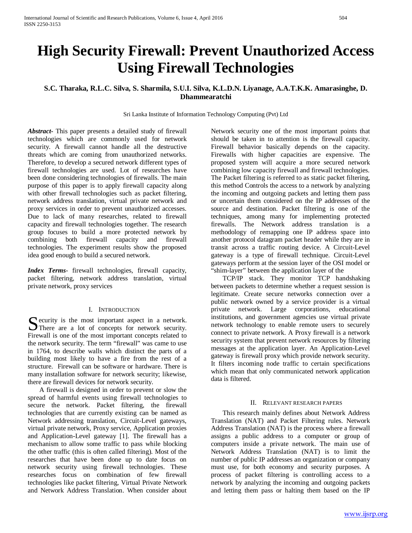# **High Security Firewall: Prevent Unauthorized Access Using Firewall Technologies**

**S.C. Tharaka, R.L.C. Silva, S. Sharmila, S.U.I. Silva, K.L.D.N. Liyanage, A.A.T.K.K. Amarasinghe, D. Dhammearatchi**

Sri Lanka Institute of Information Technology Computing (Pvt) Ltd

*Abstract***-** This paper presents a detailed study of firewall technologies which are commonly used for network security. A firewall cannot handle all the destructive threats which are coming from unauthorized networks. Therefore, to develop a secured network different types of firewall technologies are used. Lot of researches have been done considering technologies of firewalls. The main purpose of this paper is to apply firewall capacity along with other firewall technologies such as packet filtering, network address translation, virtual private network and proxy services in order to prevent unauthorized accesses. Due to lack of many researches, related to firewall capacity and firewall technologies together. The research group focuses to build a more protected network by combining both firewall capacity and firewall technologies. The experiment results show the proposed idea good enough to build a secured network.

*Index Terms*- firewall technologies, firewall capacity, packet filtering, network address translation, virtual private network, proxy services

# I. INTRODUCTION

Security is the most important aspect in a network.<br>
There are a lot of concepts for network security. There are a lot of concepts for network security. Firewall is one of the most important concepts related to the network security. The term "firewall" was came to use in 1764, to describe walls which distinct the parts of a building most likely to have a fire from the rest of a structure. Firewall can be software or hardware. There is many installation software for network security; likewise, there are firewall devices for network security.

 A firewall is designed in order to prevent or slow the spread of harmful events using firewall technologies to secure the network. Packet filtering, the firewall technologies that are currently existing can be named as Network addressing translation, Circuit-Level gateways, virtual private network, Proxy service, Application proxies and Application-Level gateway [1]. The firewall has a mechanism to allow some traffic to pass while blocking the other traffic (this is often called filtering). Most of the researches that have been done up to date focus on network security using firewall technologies. These researches focus on combination of few firewall technologies like packet filtering, Virtual Private Network and Network Address Translation. When consider about Network security one of the most important points that should be taken in to attention is the firewall capacity. Firewall behavior basically depends on the capacity. Firewalls with higher capacities are expensive. The proposed system will acquire a more secured network combining low capacity firewall and firewall technologies. The Packet filtering is referred to as static packet filtering, this method Controls the access to a network by analyzing the incoming and outgoing packets and letting them pass or uncertain them considered on the IP addresses of the source and destination. Packet filtering is one of the techniques, among many for implementing protected firewalls. The Network address translation is a methodology of remapping one IP address space into another protocol datagram packet header while they are in transit across a traffic routing device. A Circuit-Level gateway is a type of firewall technique. Circuit-Level gateways perform at the session layer of the OSI model or "shim-layer" between the application layer of the

 TCP/IP stack. They monitor TCP handshaking between packets to determine whether a request session is legitimate. Create secure networks connection over a public network owned by a service provider is a virtual private network. Large corporations, educational institutions, and government agencies use virtual private network technology to enable remote users to securely connect to private network. A Proxy firewall is a network security system that prevent network resources by filtering messages at the application layer. An Application-Level gateway is firewall proxy which provide network security. It filters incoming node traffic to certain specifications which mean that only communicated network application data is filtered.

### II. RELEVANT RESEARCH PAPERS

 This research mainly defines about Network Address Translation (NAT) and Packet Filtering rules. Network Address Translation (NAT) is the process where a firewall assigns a public address to a computer or group of computers inside a private network. The main use of Network Address Translation (NAT) is to limit the number of public IP addresses an organization or company must use, for both economy and security purposes. A process of packet filtering is controlling access to a network by analyzing the incoming and outgoing packets and letting them pass or halting them based on the IP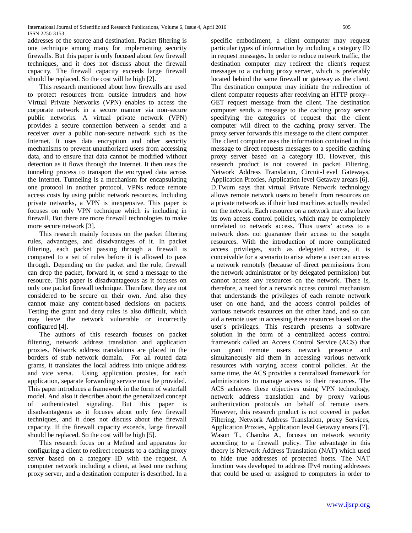addresses of the source and destination. Packet filtering is one technique among many for implementing security firewalls. But this paper is only focused about few firewall techniques, and it does not discuss about the firewall capacity. The firewall capacity exceeds large firewall should be replaced. So the cost will be high [2].

 This research mentioned about how firewalls are used to protect resources from outside intruders and how Virtual Private Networks (VPN) enables to access the corporate network in a secure manner via non-secure public networks. A virtual private network (VPN) provides a secure connection between a sender and a receiver over a public non-secure network such as the Internet. It uses data encryption and other security mechanisms to prevent unauthorized users from accessing data, and to ensure that data cannot be modified without detection as it flows through the Internet. It then uses the tunneling process to transport the encrypted data across the Internet. Tunneling is a mechanism for encapsulating one protocol in another protocol. VPNs reduce remote access costs by using public network resources. Including private networks, a VPN is inexpensive. This paper is focuses on only VPN technique which is including in firewall. But there are more firewall technologies to make more secure network [3].

 This research mainly focuses on the packet filtering rules, advantages, and disadvantages of it. In packet filtering, each packet passing through a firewall is compared to a set of rules before it is allowed to pass through. Depending on the packet and the rule, firewall can drop the packet, forward it, or send a message to the resource. This paper is disadvantageous as it focuses on only one packet firewall technique. Therefore, they are not considered to be secure on their own. And also they cannot make any content-based decisions on packets. Testing the grant and deny rules is also difficult, which may leave the network vulnerable or incorrectly configured [4].

 The authors of this research focuses on packet filtering, network address translation and application proxies. Network address translations are placed in the borders of stub network domain. For all routed data grams, it translates the local address into unique address and vice versa. Using application proxies, for each application, separate forwarding service must be provided. This paper introduces a framework in the form of waterfall model. And also it describes about the generalized concept of authenticated signaling. But this paper is disadvantageous as it focuses about only few firewall techniques, and it does not discuss about the firewall capacity. If the firewall capacity exceeds, large firewall should be replaced. So the cost will be high [5].

 This research focus on a Method and apparatus for configuring a client to redirect requests to a caching proxy server based on a category ID with the request. A computer network including a client, at least one caching proxy server, and a destination computer is described. In a

specific embodiment, a client computer may request particular types of information by including a category ID in request messages. In order to reduce network traffic, the destination computer may redirect the client's request messages to a caching proxy server, which is preferably located behind the same firewall or gateway as the client. The destination computer may initiate the redirection of client computer requests after receiving an HTTP proxy-- GET request message from the client. The destination computer sends a message to the caching proxy server specifying the categories of request that the client computer will direct to the caching proxy server. The proxy server forwards this message to the client computer. The client computer uses the information contained in this message to direct requests messages to a specific caching proxy server based on a category ID. However, this research product is not covered in packet Filtering, Network Address Translation, Circuit-Level Gateways, Application Proxies, Application level Getaway arears [6]. D.Twum says that virtual Private Network technology allows remote network users to benefit from resources on a private network as if their host machines actually resided on the network. Each resource on a network may also have its own access control policies, which may be completely unrelated to network access. Thus users' access to a network does not guarantee their access to the sought resources. With the introduction of more complicated access privileges, such as delegated access, it is conceivable for a scenario to arise where a user can access a network remotely (because of direct permissions from the network administrator or by delegated permission) but cannot access any resources on the network. There is, therefore, a need for a network access control mechanism that understands the privileges of each remote network user on one hand, and the access control policies of various network resources on the other hand, and so can aid a remote user in accessing these resources based on the user's privileges. This research presents a software solution in the form of a centralized access control framework called an Access Control Service (ACS) that can grant remote users network presence and simultaneously aid them in accessing various network resources with varying access control policies. At the same time, the ACS provides a centralized framework for administrators to manage access to their resources. The ACS achieves these objectives using VPN technology, network address translation and by proxy various authentication protocols on behalf of remote users. However, this research product is not covered in packet Filtering, Network Address Translation, proxy Services, Application Proxies, Application level Getaway arears [7]. Wason T., Chandra A., focuses on network security according to a firewall policy. The advantage in this theory is Network Address Translation (NAT) which used to hide true addresses of protected hosts. The NAT function was developed to address IPv4 routing addresses that could be used or assigned to computers in order to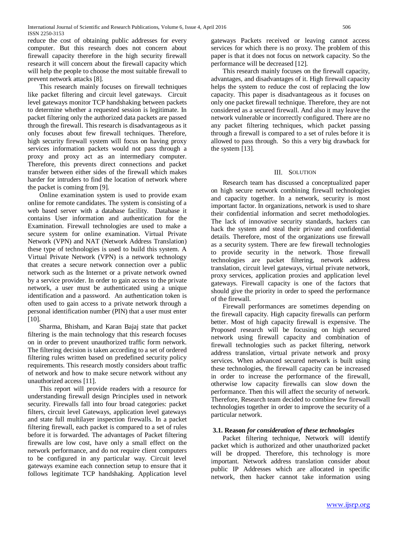reduce the cost of obtaining public addresses for every computer. But this research does not concern about firewall capacity therefore in the high security firewall research it will concern about the firewall capacity which will help the people to choose the most suitable firewall to prevent network attacks [8].

 This research mainly focuses on firewall techniques like packet filtering and circuit level gateways. Circuit level gateways monitor TCP handshaking between packets to determine whether a requested session is legitimate. In packet filtering only the authorized data packets are passed through the firewall. This research is disadvantageous as it only focuses about few firewall techniques. Therefore, high security firewall system will focus on having proxy services information packets would not pass through a proxy and proxy act as an intermediary computer. Therefore, this prevents direct connections and packet transfer between either sides of the firewall which makes harder for intruders to find the location of network where the packet is coming from [9].

 Online examination system is used to provide exam online for remote candidates. The system is consisting of a web based server with a database facility. Database it contains User information and authentication for the Examination. Firewall technologies are used to make a secure system for online examination. Virtual Private Network (VPN) and NAT (Network Address Translation) these type of technologies is used to build this system. A Virtual Private Network (VPN) is a network technology that creates a secure network connection over a public network such as the Internet or a private network owned by a service provider. In order to gain access to the private network, a user must be authenticated using a unique identification and a password. An authentication token is often used to gain access to a private network through a personal identification number (PIN) that a user must enter [10].

 Sharma, Bhisham, and Karan Bajaj state that packet filtering is the main technology that this research focuses on in order to prevent unauthorized traffic form network. The filtering decision is taken according to a set of ordered filtering rules written based on predefined security policy requirements. This research mostly considers about traffic of network and how to make secure network without any unauthorized access [11].

 This report will provide readers with a resource for understanding firewall design Principles used in network security. Firewalls fall into four broad categories: packet filters, circuit level Gateways, application level gateways and state full multilayer inspection firewalls. In a packet filtering firewall, each packet is compared to a set of rules before it is forwarded. The advantages of Packet filtering firewalls are low cost, have only a small effect on the network performance, and do not require client computers to be configured in any particular way. Circuit level gateways examine each connection setup to ensure that it follows legitimate TCP handshaking. Application level

gateways Packets received or leaving cannot access services for which there is no proxy. The problem of this paper is that it does not focus on network capacity. So the performance will be decreased [12].

 This research mainly focuses on the firewall capacity, advantages, and disadvantages of it. High firewall capacity helps the system to reduce the cost of replacing the low capacity. This paper is disadvantageous as it focuses on only one packet firewall technique. Therefore, they are not considered as a secured firewall. And also it may leave the network vulnerable or incorrectly configured. There are no any packet filtering techniques, which packet passing through a firewall is compared to a set of rules before it is allowed to pass through. So this a very big drawback for the system [13].

### III. SOLUTION

 Research team has discussed a conceptualized paper on high secure network combining firewall technologies and capacity together. In a network, security is most important factor. In organizations, network is used to share their confidential information and secret methodologies. The lack of innovative security standards, hackers can hack the system and steal their private and confidential details. Therefore, most of the organizations use firewall as a security system. There are few firewall technologies to provide security in the network. Those firewall technologies are packet filtering, network address translation, circuit level gateways, virtual private network, proxy services, application proxies and application level gateways. Firewall capacity is one of the factors that should give the priority in order to speed the performance of the firewall.

 Firewall performances are sometimes depending on the firewall capacity. High capacity firewalls can perform better. Most of high capacity firewall is expensive. The Proposed research will be focusing on high secured network using firewall capacity and combination of firewall technologies such as packet filtering, network address translation, virtual private network and proxy services. When advanced secured network is built using these technologies, the firewall capacity can be increased in order to increase the performance of the firewall, otherwise low capacity firewalls can slow down the performance. Then this will affect the security of network. Therefore, Research team decided to combine few firewall technologies together in order to improve the security of a particular network.

#### **3.1. Reason** *for consideration of these technologies*

 Packet filtering technique, Network will identify packet which is authorized and other unauthorized packet will be dropped. Therefore, this technology is more important. Network address translation consider about public IP Addresses which are allocated in specific network, then hacker cannot take information using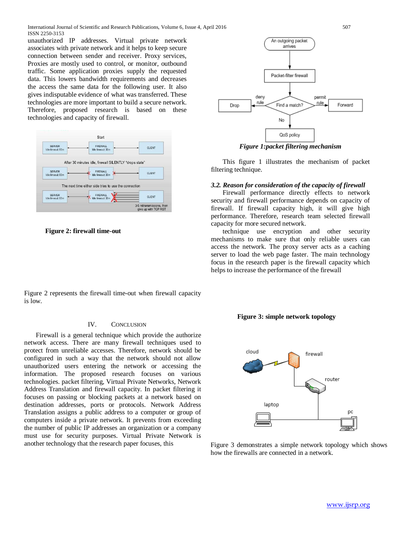unauthorized IP addresses. Virtual private network associates with private network and it helps to keep secure connection between sender and receiver. Proxy services, Proxies are mostly used to control, or monitor, outbound traffic. Some application proxies supply the requested data. This lowers bandwidth requirements and decreases the access the same data for the following user. It also gives indisputable evidence of what was transferred. These technologies are more important to build a secure network. Therefore, proposed research is based on these technologies and capacity of firewall.



 **Figure 2: firewall time-out**

Figure 2 represents the firewall time-out when firewall capacity is low.

# IV. CONCLUSION

 Firewall is a general technique which provide the authorize network access. There are many firewall techniques used to protect from unreliable accesses. Therefore, network should be configured in such a way that the network should not allow unauthorized users entering the network or accessing the information. The proposed research focuses on various technologies. packet filtering, Virtual Private Networks, Network Address Translation and firewall capacity. In packet filtering it focuses on passing or blocking packets at a network based on destination addresses, ports or protocols. Network Address Translation assigns a public address to a computer or group of computers inside a private network. It prevents from exceeding the number of public IP addresses an organization or a company must use for security purposes. Virtual Private Network is another technology that the research paper focuses, this Figure 3 demonstrates a simple network topology which shows



*Figure 1:packet filtering mechanism*

 This figure 1 illustrates the mechanism of packet filtering technique.

## *3.2. Reason for consideration of the capacity of firewall*

 Firewall performance directly effects to network security and firewall performance depends on capacity of firewall. If firewall capacity high, it will give high performance. Therefore, research team selected firewall capacity for more secured network.

 technique use encryption and other security mechanisms to make sure that only reliable users can access the network. The proxy server acts as a caching server to load the web page faster. The main technology focus in the research paper is the firewall capacity which helps to increase the performance of the firewall





how the firewalls are connected in a network.